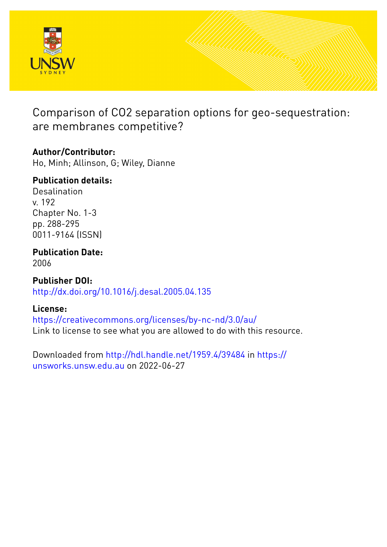

Comparison of CO2 separation options for geo-sequestration: are membranes competitive?

# **Author/Contributor:**

Ho, Minh; Allinson, G; Wiley, Dianne

# **Publication details:**

Desalination v. 192 Chapter No. 1-3 pp. 288-295 0011-9164 (ISSN)

# **Publication Date:**

2006

**Publisher DOI:** [http://dx.doi.org/10.1016/j.desal.2005.04.135](http://dx.doi.org/http://dx.doi.org/10.1016/j.desal.2005.04.135)

## **License:**

<https://creativecommons.org/licenses/by-nc-nd/3.0/au/> Link to license to see what you are allowed to do with this resource.

Downloaded from <http://hdl.handle.net/1959.4/39484> in [https://](https://unsworks.unsw.edu.au) [unsworks.unsw.edu.au](https://unsworks.unsw.edu.au) on 2022-06-27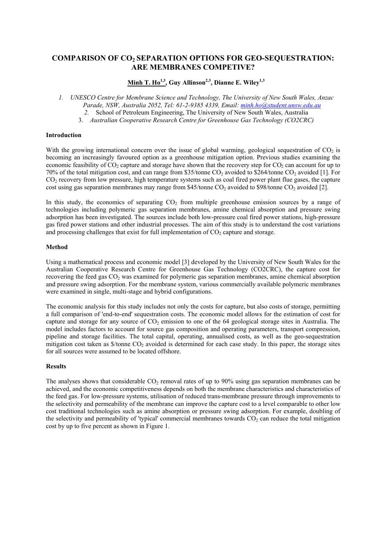## **COMPARISON OF CO2 SEPARATION OPTIONS FOR GEO-SEQUESTRATION: ARE MEMBRANES COMPETIVE?**

### Minh T. Ho<sup>1,3</sup>, Guy Allinson<sup>2,3</sup>, Dianne E. Wiley<sup>1,3</sup>

*1. UNESCO Centre for Membrane Science and Technology, The University of New South Wales, Anzac Parade, NSW, Australia 2052, Tel: 61-2-9385 4339, Email: [minh.ho@student.unsw.edu.au](mailto:minh.ho@student.unsw.edu.au)*

*2.* School of Petroleum Engineering, The University of New South Wales, Australia

3. *Australian Cooperative Research Centre for Greenhouse Gas Technology (CO2CRC)*

#### **Introduction**

With the growing international concern over the issue of global warming, geological sequestration of  $CO<sub>2</sub>$  is becoming an increasingly favoured option as a greenhouse mitigation option. Previous studies examining the economic feasibility of  $CO_2$  capture and storage have shown that the recovery step for  $CO_2$  can account for up to 70% of the total mitigation cost, and can range from \$35/tonne  $CO_2$  avoided to \$264/tonne  $CO_2$  avoided [1]. For CO<sub>2</sub> recovery from low pressure, high temperature systems such as coal fired power plant flue gases, the [cap](#page-2-0)ture cost using gas separation membranes may range from \$45/tonne  $CO<sub>2</sub>$  avoided to \$98/tonne  $CO<sub>2</sub>$  avoided [\[2\].](#page-2-1)

In this study, the economics of separating  $CO<sub>2</sub>$  from multiple greenhouse emission sources by a range of technologies including polymeric gas separation membranes, amine chemical absorption and pressure swing adsorption has been investigated. The sources include both low-pressure coal fired power stations, high-pressure gas fired power stations and other industrial processes. The aim of this study is to understand the cost variations and processing challenges that exist for full implementation of  $CO<sub>2</sub>$  capture and storage.

#### **Method**

Using a mathematical process and economic model [3] developed by the University of New South Wales for the Australian Cooperative Research Centre for Gree[nho](#page-2-2)use Gas Technology (CO2CRC), the capture cost for recovering the feed gas  $CO<sub>2</sub>$  was examined for polymeric gas separation membranes, amine chemical absorption and pressure swing adsorption. For the membrane system, various commercially available polymeric membranes were examined in single, multi-stage and hybrid configurations.

The economic analysis for this study includes not only the costs for capture, but also costs of storage, permitting a full comparison of 'end-to-end' sequestration costs. The economic model allows for the estimation of cost for capture and storage for any source of  $CO<sub>2</sub>$  emission to one of the 64 geological storage sites in Australia. The model includes factors to account for source gas composition and operating parameters, transport compression, pipeline and storage facilities. The total capital, operating, annualised costs, as well as the geo-sequestration mitigation cost taken as  $\frac{1}{2}$  /tonne CO<sub>2</sub> avoided is determined for each case study. In this paper, the storage sites for all sources were assumed to be located offshore.

#### **Results**

The analyses shows that considerable  $CO<sub>2</sub>$  removal rates of up to 90% using gas separation membranes can be achieved, and the economic competitiveness depends on both the membrane characteristics and characteristics of the feed gas. For low-pressure systems, utilisation of reduced trans-membrane pressure through improvements to the selectivity and permeability of the membrane can improve the capture cost to a level comparable to other low cost traditional technologies such as amine absorption or pressure swing adsorption. For example, doubling of the selectivity and permeability of 'typical' commercial membranes towards  $CO<sub>2</sub>$  can reduce the total mitigation cost by up to five percent as shown in Figure 1.